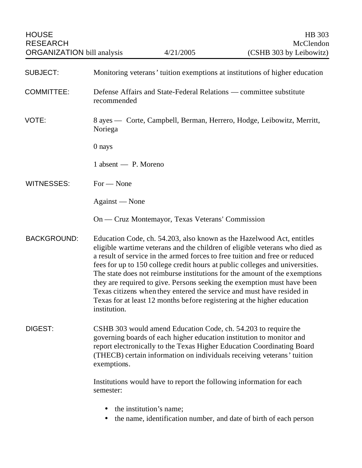| <b>SUBJECT:</b>    | Monitoring veterans' tuition exemptions at institutions of higher education                                                                                                                                                                                                                                                                                                                                                                                                                                                                                                                                                                      |
|--------------------|--------------------------------------------------------------------------------------------------------------------------------------------------------------------------------------------------------------------------------------------------------------------------------------------------------------------------------------------------------------------------------------------------------------------------------------------------------------------------------------------------------------------------------------------------------------------------------------------------------------------------------------------------|
| <b>COMMITTEE:</b>  | Defense Affairs and State-Federal Relations — committee substitute<br>recommended                                                                                                                                                                                                                                                                                                                                                                                                                                                                                                                                                                |
| VOTE:              | 8 ayes — Corte, Campbell, Berman, Herrero, Hodge, Leibowitz, Merritt,<br>Noriega                                                                                                                                                                                                                                                                                                                                                                                                                                                                                                                                                                 |
|                    | 0 nays                                                                                                                                                                                                                                                                                                                                                                                                                                                                                                                                                                                                                                           |
|                    | 1 absent — P. Moreno                                                                                                                                                                                                                                                                                                                                                                                                                                                                                                                                                                                                                             |
| <b>WITNESSES:</b>  | $For - None$                                                                                                                                                                                                                                                                                                                                                                                                                                                                                                                                                                                                                                     |
|                    | Against — None                                                                                                                                                                                                                                                                                                                                                                                                                                                                                                                                                                                                                                   |
|                    | On — Cruz Montemayor, Texas Veterans' Commission                                                                                                                                                                                                                                                                                                                                                                                                                                                                                                                                                                                                 |
| <b>BACKGROUND:</b> | Education Code, ch. 54.203, also known as the Hazelwood Act, entitles<br>eligible wartime veterans and the children of eligible veterans who died as<br>a result of service in the armed forces to free tuition and free or reduced<br>fees for up to 150 college credit hours at public colleges and universities.<br>The state does not reimburse institutions for the amount of the exemptions<br>they are required to give. Persons seeking the exemption must have been<br>Texas citizens when they entered the service and must have resided in<br>Texas for at least 12 months before registering at the higher education<br>institution. |
| DIGEST:            | CSHB 303 would amend Education Code, ch. 54.203 to require the<br>governing boards of each higher education institution to monitor and<br>report electronically to the Texas Higher Education Coordinating Board<br>(THECB) certain information on individuals receiving veterans' tuition<br>exemptions.                                                                                                                                                                                                                                                                                                                                        |
|                    | Institutions would have to report the following information for each<br>semester:                                                                                                                                                                                                                                                                                                                                                                                                                                                                                                                                                                |
|                    | the institution's name;                                                                                                                                                                                                                                                                                                                                                                                                                                                                                                                                                                                                                          |

• the name, identification number, and date of birth of each person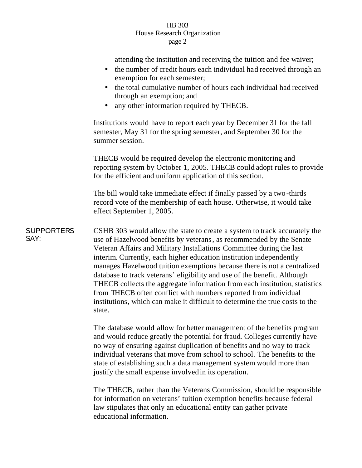## HB 303 House Research Organization page 2

attending the institution and receiving the tuition and fee waiver;

|                           | the number of credit hours each individual had received through an<br>exemption for each semester;<br>the total cumulative number of hours each individual had received<br>through an exemption; and<br>any other information required by THECB.                                                                                                                                                                                                                                                                                                                                                                                                                                                  |
|---------------------------|---------------------------------------------------------------------------------------------------------------------------------------------------------------------------------------------------------------------------------------------------------------------------------------------------------------------------------------------------------------------------------------------------------------------------------------------------------------------------------------------------------------------------------------------------------------------------------------------------------------------------------------------------------------------------------------------------|
|                           | Institutions would have to report each year by December 31 for the fall<br>semester, May 31 for the spring semester, and September 30 for the<br>summer session.                                                                                                                                                                                                                                                                                                                                                                                                                                                                                                                                  |
|                           | THECB would be required develop the electronic monitoring and<br>reporting system by October 1, 2005. THECB could adopt rules to provide<br>for the efficient and uniform application of this section.                                                                                                                                                                                                                                                                                                                                                                                                                                                                                            |
|                           | The bill would take immediate effect if finally passed by a two-thirds<br>record vote of the membership of each house. Otherwise, it would take<br>effect September 1, 2005.                                                                                                                                                                                                                                                                                                                                                                                                                                                                                                                      |
| <b>SUPPORTERS</b><br>SAY: | CSHB 303 would allow the state to create a system to track accurately the<br>use of Hazelwood benefits by veterans, as recommended by the Senate<br>Veteran Affairs and Military Installations Committee during the last<br>interim. Currently, each higher education institution independently<br>manages Hazelwood tuition exemptions because there is not a centralized<br>database to track veterans' eligibility and use of the benefit. Although<br>THECB collects the aggregate information from each institution, statistics<br>from THECB often conflict with numbers reported from individual<br>institutions, which can make it difficult to determine the true costs to the<br>state. |
|                           | The database would allow for better management of the benefits program                                                                                                                                                                                                                                                                                                                                                                                                                                                                                                                                                                                                                            |

and would reduce greatly the potential for fraud. Colleges currently have no way of ensuring against duplication of benefits and no way to track individual veterans that move from school to school. The benefits to the state of establishing such a data management system would more than justify the small expense involved in its operation.

The THECB, rather than the Veterans Commission, should be responsible for information on veterans' tuition exemption benefits because federal law stipulates that only an educational entity can gather private educational information.